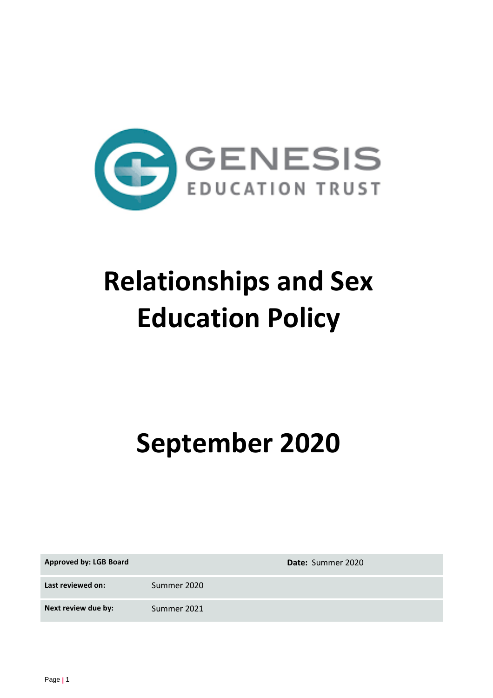

# **Relationships and Sex Education Policy**

**September 2020**

| <b>Approved by: LGB Board</b> |             | Date: Summer 2020 |
|-------------------------------|-------------|-------------------|
| Last reviewed on:             | Summer 2020 |                   |
| Next review due by:           | Summer 2021 |                   |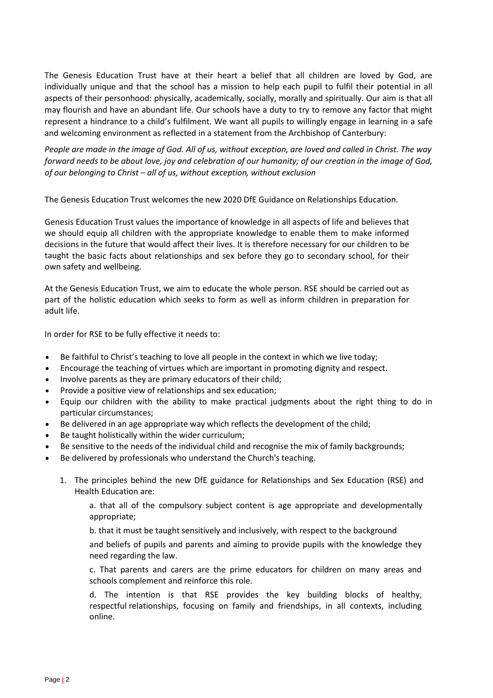The Genesis Education Trust have at their heart a belief that all children are loved by God, are individually unique and that the school has a mission to help each pupil to fulfil their potential in all aspects of their personhood: physically, academically, socially, morally and spiritually. Our aim is that all may flourish and have an abundant life. Our schools have a duty to try to remove any factor that might represent a hindrance to a child's fulfilment. We want all pupils to willingly engage in learning in a safe and welcoming environment as reflected in a statement from the Archbishop of Canterbury:

*People are made in the image of God. All of us, without exception, are loved and called in Christ. The way forward needs to be about love, joy and celebration of our humanity; of our creation in the image of God, of our belonging to Christ – all of us, without exception, without exclusion*

The Genesis Education Trust welcomes the new 2020 DfE Guidance on Relationships Education.

Genesis Education Trust values the importance of knowledge in all aspects of life and believes that we should equip all children with the appropriate knowledge to enable them to make informed decisions in the future that would affect their lives. It is therefore necessary for our children to be taught the basic facts about relationships and sex before they go to secondary school, for their own safety and wellbeing.

At the Genesis Education Trust, we aim to educate the whole person. RSE should be carried out as part of the holistic education which seeks to form as well as inform children in preparation for adult life.

In order for RSE to be fully effective it needs to:

- Be faithful to Christ's teaching to love all people in the context in which we live today;
- Encourage the teaching of virtues which are important in promoting dignity and respect.
- Involve parents as they are primary educators of their child;
- Provide a positive view of relationships and sex education;
- Equip our children with the ability to make practical judgments about the right thing to do in particular circumstances;
- Be delivered in an age appropriate way which reflects the development of the child;
- Be taught holistically within the wider curriculum;
- Be sensitive to the needs of the individual child and recognise the mix of family backgrounds;
- Be delivered by professionals who understand the Church's teaching.
	- 1. The principles behind the new DfE guidance for Relationships and Sex Education (RSE) and Health Education are:

a. that all of the compulsory subject content is age appropriate and developmentally appropriate;

b. that it must be taught sensitively and inclusively, with respect to the background

and beliefs of pupils and parents and aiming to provide pupils with the knowledge they need regarding the law.

c. That parents and carers are the prime educators for children on many areas and schools complement and reinforce this role.

d. The intention is that RSE provides the key building blocks of healthy, respectful relationships, focusing on family and friendships, in all contexts, including online.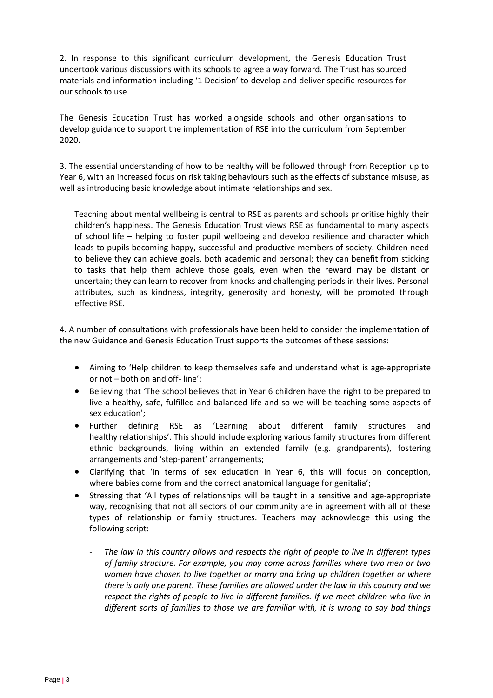2. In response to this significant curriculum development, the Genesis Education Trust undertook various discussions with its schools to agree a way forward. The Trust has sourced materials and information including '1 Decision' to develop and deliver specific resources for our schools to use.

The Genesis Education Trust has worked alongside schools and other organisations to develop guidance to support the implementation of RSE into the curriculum from September 2020.

3. The essential understanding of how to be healthy will be followed through from Reception up to Year 6, with an increased focus on risk taking behaviours such as the effects of substance misuse, as well as introducing basic knowledge about intimate relationships and sex.

Teaching about mental wellbeing is central to RSE as parents and schools prioritise highly their children's happiness. The Genesis Education Trust views RSE as fundamental to many aspects of school life – helping to foster pupil wellbeing and develop resilience and character which leads to pupils becoming happy, successful and productive members of society. Children need to believe they can achieve goals, both academic and personal; they can benefit from sticking to tasks that help them achieve those goals, even when the reward may be distant or uncertain; they can learn to recover from knocks and challenging periods in their lives. Personal attributes, such as kindness, integrity, generosity and honesty, will be promoted through effective RSE.

4. A number of consultations with professionals have been held to consider the implementation of the new Guidance and Genesis Education Trust supports the outcomes of these sessions:

- Aiming to 'Help children to keep themselves safe and understand what is age-appropriate or not – both on and off- line';
- Believing that 'The school believes that in Year 6 children have the right to be prepared to live a healthy, safe, fulfilled and balanced life and so we will be teaching some aspects of sex education';
- Further defining RSE as 'Learning about different family structures and healthy relationships'. This should include exploring various family structures from different ethnic backgrounds, living within an extended family (e.g. grandparents), fostering arrangements and 'step-parent' arrangements;
- Clarifying that 'In terms of sex education in Year 6, this will focus on conception, where babies come from and the correct anatomical language for genitalia';
- Stressing that 'All types of relationships will be taught in a sensitive and age-appropriate way, recognising that not all sectors of our community are in agreement with all of these types of relationship or family structures. Teachers may acknowledge this using the following script:
	- *The law in this country allows and respects the right of people to live in different types of family structure. For example, you may come across families where two men or two women have chosen to live together or marry and bring up children together or where there is only one parent. These families are allowed under the law in this country and we respect the rights of people to live in different families. If we meet children who live in different sorts of families to those we are familiar with, it is wrong to say bad things*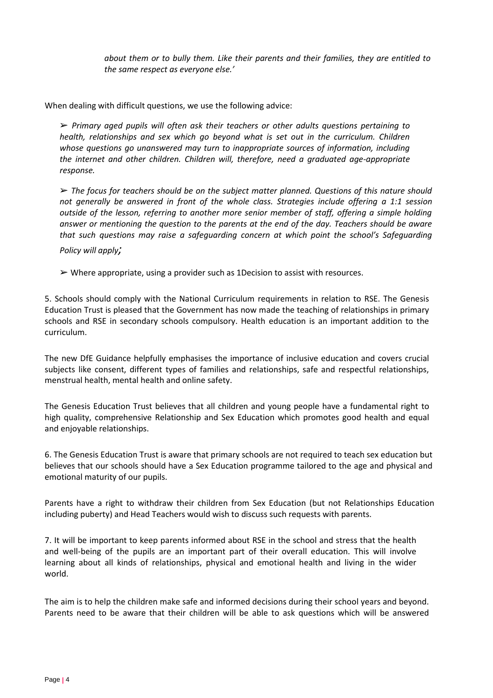*about them or to bully them. Like their parents and their families, they are entitled to the same respect as everyone else.'*

When dealing with difficult questions, we use the following advice:

➢ *Primary aged pupils will often ask their teachers or other adults questions pertaining to health, relationships and sex which go beyond what is set out in the curriculum. Children whose questions go unanswered may turn to inappropriate sources of information, including the internet and other children. Children will, therefore, need a graduated age-appropriate response.*

➢ *The focus for teachers should be on the subject matter planned. Questions of this nature should not generally be answered in front of the whole class. Strategies include offering a 1:1 session outside of the lesson, referring to another more senior member of staff, offering a simple holding answer or mentioning the question to the parents at the end of the day. Teachers should be aware that such questions may raise a safeguarding concern at which point the school's Safeguarding Policy will apply;*

 $\triangleright$  Where appropriate, using a provider such as 1Decision to assist with resources.

5. Schools should comply with the National Curriculum requirements in relation to RSE. The Genesis Education Trust is pleased that the Government has now made the teaching of relationships in primary schools and RSE in secondary schools compulsory. Health education is an important addition to the curriculum.

The new DfE Guidance helpfully emphasises the importance of inclusive education and covers crucial subjects like consent, different types of families and relationships, safe and respectful relationships, menstrual health, mental health and online safety.

The Genesis Education Trust believes that all children and young people have a fundamental right to high quality, comprehensive Relationship and Sex Education which promotes good health and equal and enjoyable relationships.

6. The Genesis Education Trust is aware that primary schools are not required to teach sex education but believes that our schools should have a Sex Education programme tailored to the age and physical and emotional maturity of our pupils.

Parents have a right to withdraw their children from Sex Education (but not Relationships Education including puberty) and Head Teachers would wish to discuss such requests with parents.

7. It will be important to keep parents informed about RSE in the school and stress that the health and well-being of the pupils are an important part of their overall education. This will involve learning about all kinds of relationships, physical and emotional health and living in the wider world.

The aim is to help the children make safe and informed decisions during their school years and beyond. Parents need to be aware that their children will be able to ask questions which will be answered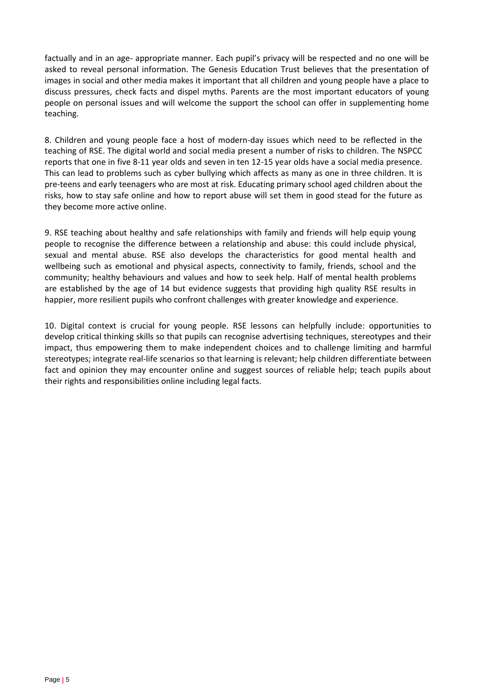factually and in an age- appropriate manner. Each pupil's privacy will be respected and no one will be asked to reveal personal information. The Genesis Education Trust believes that the presentation of images in social and other media makes it important that all children and young people have a place to discuss pressures, check facts and dispel myths. Parents are the most important educators of young people on personal issues and will welcome the support the school can offer in supplementing home teaching.

8. Children and young people face a host of modern-day issues which need to be reflected in the teaching of RSE. The digital world and social media present a number of risks to children. The NSPCC reports that one in five 8-11 year olds and seven in ten 12-15 year olds have a social media presence. This can lead to problems such as cyber bullying which affects as many as one in three children. It is pre-teens and early teenagers who are most at risk. Educating primary school aged children about the risks, how to stay safe online and how to report abuse will set them in good stead for the future as they become more active online.

9. RSE teaching about healthy and safe relationships with family and friends will help equip young people to recognise the difference between a relationship and abuse: this could include physical, sexual and mental abuse. RSE also develops the characteristics for good mental health and wellbeing such as emotional and physical aspects, connectivity to family, friends, school and the community; healthy behaviours and values and how to seek help. Half of mental health problems are established by the age of 14 but evidence suggests that providing high quality RSE results in happier, more resilient pupils who confront challenges with greater knowledge and experience.

10. Digital context is crucial for young people. RSE lessons can helpfully include: opportunities to develop critical thinking skills so that pupils can recognise advertising techniques, stereotypes and their impact, thus empowering them to make independent choices and to challenge limiting and harmful stereotypes; integrate real-life scenarios so that learning is relevant; help children differentiate between fact and opinion they may encounter online and suggest sources of reliable help; teach pupils about their rights and responsibilities online including legal facts.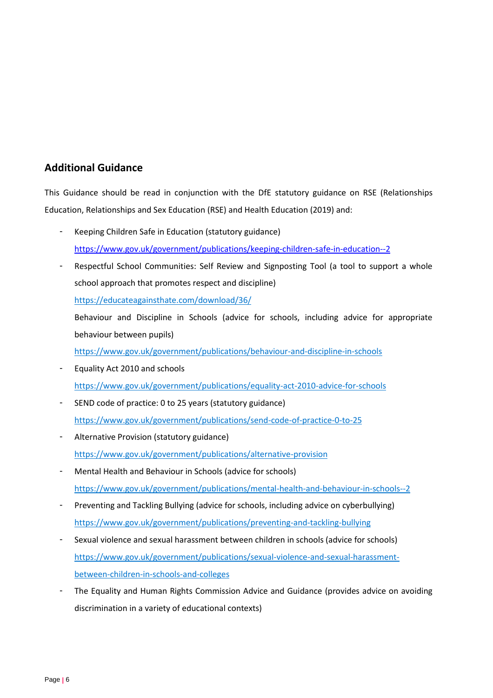## **Additional Guidance**

This Guidance should be read in conjunction with the DfE statutory guidance on RSE (Relationships Education, Relationships and Sex Education (RSE) and Health Education (2019) and:

- Keeping Children Safe in Education (statutory guidance) <https://www.gov.uk/government/publications/keeping-children-safe-in-education--2>
- Respectful School Communities: Self Review and Signposting Tool (a tool to support a whole school approach that promotes respect and discipline)

<https://educateagainsthate.com/download/36/>

Behaviour and Discipline in Schools (advice for schools, including advice for appropriate behaviour between pupils)

<https://www.gov.uk/government/publications/behaviour-and-discipline-in-schools>

- Equality Act 2010 and schools <https://www.gov.uk/government/publications/equality-act-2010-advice-for-schools>
- SEND code of practice: 0 to 25 years (statutory guidance) <https://www.gov.uk/government/publications/send-code-of-practice-0-to-25>
- Alternative Provision (statutory guidance) <https://www.gov.uk/government/publications/alternative-provision>
- Mental Health and Behaviour in Schools (advice for schools) <https://www.gov.uk/government/publications/mental-health-and-behaviour-in-schools--2>
- Preventing and Tackling Bullying (advice for schools, including advice on cyberbullying) <https://www.gov.uk/government/publications/preventing-and-tackling-bullying>
- Sexual violence and sexual harassment between children in schools (advice for schools) [https://www.gov.uk/government/publications/sexual-violence-and-sexual-harassment](https://www.gov.uk/government/publications/sexual-violence-and-sexual-harassment-between-children-in-schools-and-colleges)[between-children-in-schools-and-colleges](https://www.gov.uk/government/publications/sexual-violence-and-sexual-harassment-between-children-in-schools-and-colleges)
- The Equality and Human Rights Commission Advice and Guidance (provides advice on avoiding discrimination in a variety of educational contexts)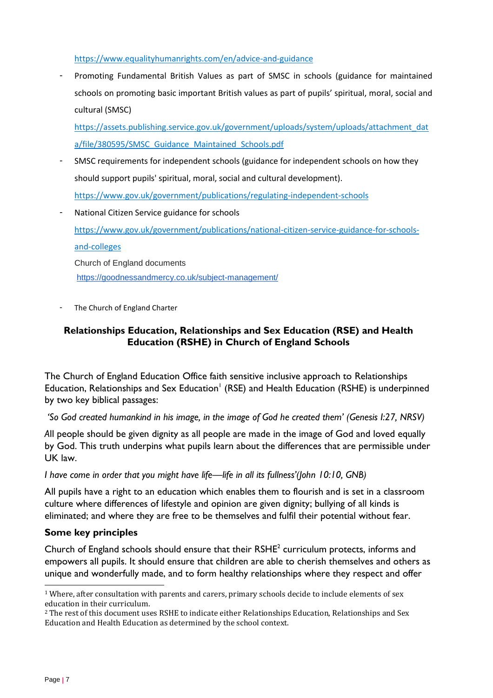<https://www.equalityhumanrights.com/en/advice-and-guidance>

Promoting Fundamental British Values as part of SMSC in schools (guidance for maintained schools on promoting basic important British values as part of pupils' spiritual, moral, social and cultural (SMSC)

[https://assets.publishing.service.gov.uk/government/uploads/system/uploads/attachment\\_dat](https://assets.publishing.service.gov.uk/government/uploads/system/uploads/attachment_data/file/380595/SMSC_Guidance_Maintained_Schools.pdf) [a/file/380595/SMSC\\_Guidance\\_Maintained\\_Schools.pdf](https://assets.publishing.service.gov.uk/government/uploads/system/uploads/attachment_data/file/380595/SMSC_Guidance_Maintained_Schools.pdf)

- SMSC requirements for independent schools (guidance for independent schools on how they should support pupils' spiritual, moral, social and cultural development). <https://www.gov.uk/government/publications/regulating-independent-schools>
- National Citizen Service guidance for schools [https://www.gov.uk/government/publications/national-citizen-service-guidance-for-schools](https://www.gov.uk/government/publications/national-citizen-service-guidance-for-schools-and-colleges)[and-colleges](https://www.gov.uk/government/publications/national-citizen-service-guidance-for-schools-and-colleges) Church of England documents <https://goodnessandmercy.co.uk/subject-management/>
- The Church of England Charter

#### **Relationships Education, Relationships and Sex Education (RSE) and Health Education (RSHE) in Church of England Schools**

The Church of England Education Office faith sensitive inclusive approach to Relationships Education, Relationships and Sex Education<sup>1</sup> (RSE) and Health Education (RSHE) is underpinned by two key biblical passages:

*'So God created humankind in his image, in the image of God he created them' (Genesis I:27, NRSV)* 

*A*ll people should be given dignity as all people are made in the image of God and loved equally by God. This truth underpins what pupils learn about the differences that are permissible under UK law.

*I have come in order that you might have life—life in all its fullness'(John 10:10, GNB)* 

All pupils have a right to an education which enables them to flourish and is set in a classroom culture where differences of lifestyle and opinion are given dignity; bullying of all kinds is eliminated; and where they are free to be themselves and fulfil their potential without fear.

#### **Some key principles**

Church of England schools should ensure that their  $RSHE<sup>2</sup>$  curriculum protects, informs and empowers all pupils. It should ensure that children are able to cherish themselves and others as unique and wonderfully made, and to form healthy relationships where they respect and offer

l

<sup>1</sup> Where, after consultation with parents and carers, primary schools decide to include elements of sex education in their curriculum.

<sup>2</sup> The rest of this document uses RSHE to indicate either Relationships Education, Relationships and Sex Education and Health Education as determined by the school context.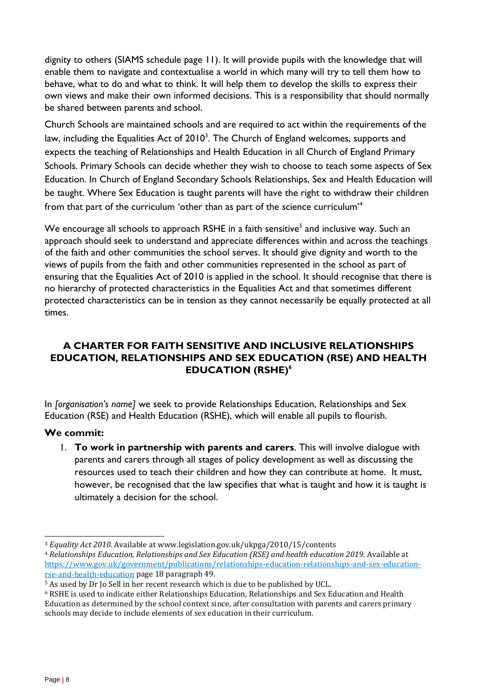dignity to others (SIAMS schedule page 11). It will provide pupils with the knowledge that will enable them to navigate and contextualise a world in which many will try to tell them how to behave, what to do and what to think. It will help them to develop the skills to express their own views and make their own informed decisions. This is a responsibility that should normally be shared between parents and school.

Church Schools are maintained schools and are required to act within the requirements of the law, including the Equalities Act of 2010 $^3$ . The Church of England welcomes, supports and expects the teaching of Relationships and Health Education in all Church of England Primary Schools. Primary Schools can decide whether they wish to choose to teach some aspects of Sex Education. In Church of England Secondary Schools Relationships, Sex and Health Education will be taught. Where Sex Education is taught parents will have the right to withdraw their children from that part of the curriculum 'other than as part of the science curriculum'<sup>4</sup>

We encourage all schools to approach  $\mathsf{RSHE}$  in a faith sensitive $^{\mathsf{5}}$  and inclusive way. Such an approach should seek to understand and appreciate differences within and across the teachings of the faith and other communities the school serves. It should give dignity and worth to the views of pupils from the faith and other communities represented in the school as part of ensuring that the Equalities Act of 2010 is applied in the school. It should recognise that there is no hierarchy of protected characteristics in the Equalities Act and that sometimes different protected characteristics can be in tension as they cannot necessarily be equally protected at all times.

### **A CHARTER FOR FAITH SENSITIVE AND INCLUSIVE RELATIONSHIPS EDUCATION, RELATIONSHIPS AND SEX EDUCATION (RSE) AND HEALTH EDUCATION (RSHE)<sup>6</sup>**

In *[organisation's name]* we seek to provide Relationships Education, Relationships and Sex Education (RSE) and Health Education (RSHE), which will enable all pupils to flourish.

#### **We commit:**

1. **To work in partnership with parents and carers**. This will involve dialogue with parents and carers through all stages of policy development as well as discussing the resources used to teach their children and how they can contribute at home. It must, however, be recognised that the law specifies that what is taught and how it is taught is ultimately a decision for the school.

l <sup>3</sup> *Equality Act 2010.* Available at www.legislation.gov.uk/ukpga/2010/15/contents

<sup>4</sup> *Relationships Education, Relationships and Sex Education (RSE) and health education 2019.* Available at [https://www.gov.uk/government/publications/relationships-education-relationships-and-sex-education](https://www.gov.uk/government/publications/relationships-education-relationships-and-sex-education-rse-and-health-education)[rse-and-health-education](https://www.gov.uk/government/publications/relationships-education-relationships-and-sex-education-rse-and-health-education) page 18 paragraph 49.

<sup>5</sup> As used by Dr Jo Sell in her recent research which is due to be published by UCL.

<sup>6</sup> RSHE is used to indicate either Relationships Education, Relationships and Sex Education and Health Education as determined by the school context since, after consultation with parents and carers primary schools may decide to include elements of sex education in their curriculum.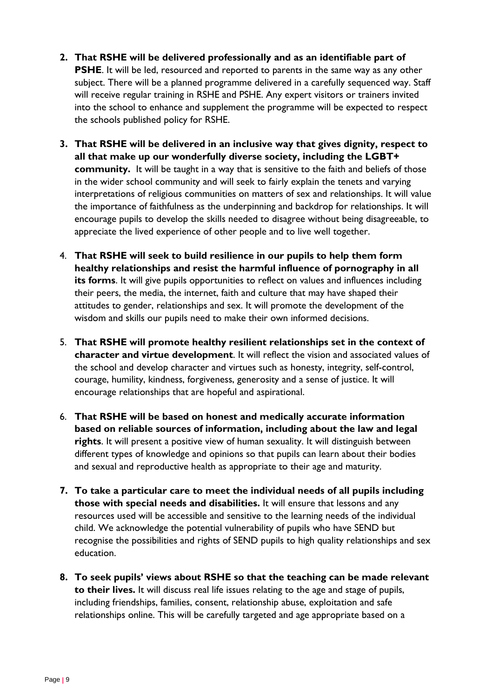- **2. That RSHE will be delivered professionally and as an identifiable part of PSHE**. It will be led, resourced and reported to parents in the same way as any other subject. There will be a planned programme delivered in a carefully sequenced way. Staff will receive regular training in RSHE and PSHE. Any expert visitors or trainers invited into the school to enhance and supplement the programme will be expected to respect the schools published policy for RSHE.
- **3. That RSHE will be delivered in an inclusive way that gives dignity, respect to all that make up our wonderfully diverse society, including the LGBT+ community.** It will be taught in a way that is sensitive to the faith and beliefs of those in the wider school community and will seek to fairly explain the tenets and varying interpretations of religious communities on matters of sex and relationships. It will value the importance of faithfulness as the underpinning and backdrop for relationships. It will encourage pupils to develop the skills needed to disagree without being disagreeable, to appreciate the lived experience of other people and to live well together.
- 4. **That RSHE will seek to build resilience in our pupils to help them form healthy relationships and resist the harmful influence of pornography in all its forms**. It will give pupils opportunities to reflect on values and influences including their peers, the media, the internet, faith and culture that may have shaped their attitudes to gender, relationships and sex. It will promote the development of the wisdom and skills our pupils need to make their own informed decisions.
- 5. **That RSHE will promote healthy resilient relationships set in the context of character and virtue development**. It will reflect the vision and associated values of the school and develop character and virtues such as honesty, integrity, self-control, courage, humility, kindness, forgiveness, generosity and a sense of justice. It will encourage relationships that are hopeful and aspirational.
- 6. **That RSHE will be based on honest and medically accurate information based on reliable sources of information, including about the law and legal rights**. It will present a positive view of human sexuality. It will distinguish between different types of knowledge and opinions so that pupils can learn about their bodies and sexual and reproductive health as appropriate to their age and maturity.
- **7. To take a particular care to meet the individual needs of all pupils including those with special needs and disabilities.** It will ensure that lessons and any resources used will be accessible and sensitive to the learning needs of the individual child. We acknowledge the potential vulnerability of pupils who have SEND but recognise the possibilities and rights of SEND pupils to high quality relationships and sex education.
- **8. To seek pupils' views about RSHE so that the teaching can be made relevant to their lives.** It will discuss real life issues relating to the age and stage of pupils, including friendships, families, consent, relationship abuse, exploitation and safe relationships online. This will be carefully targeted and age appropriate based on a